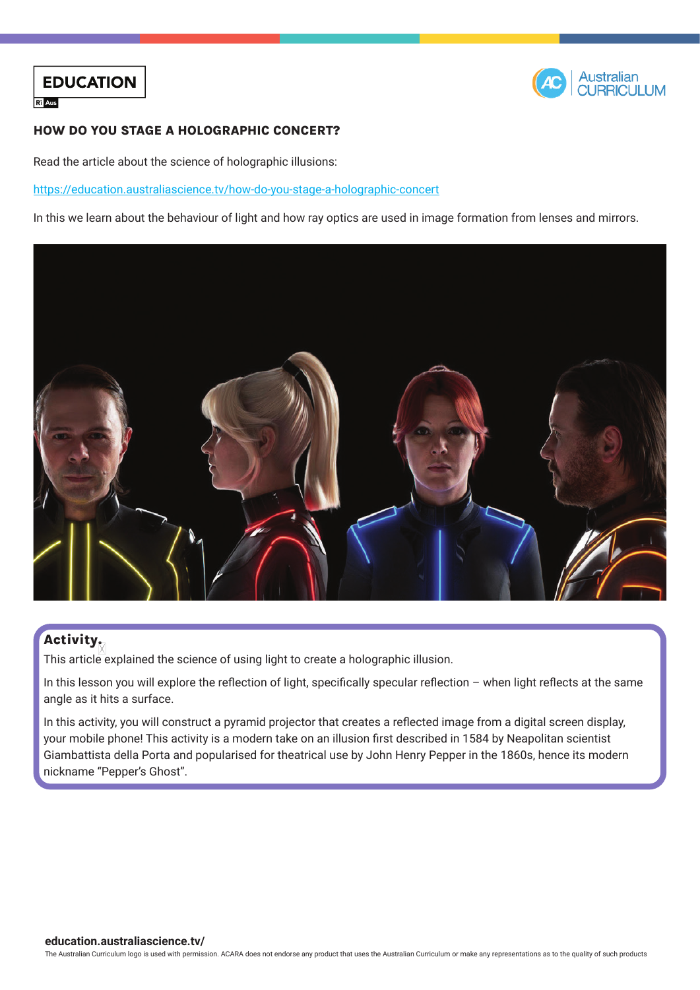



#### HOW DO YOU STAGE A HOLOGRAPHIC CONCERT?

Read the article about the science of holographic illusions:

[https://education.australiascience.tv/h](https://education.australiascience.tv/how-do-you-stage-a-holographic-concert)ow-do-you-stage-a-holographic-concert

In this we learn about the behaviour of light and how ray optics are used in image formation from lenses and mirrors.



### **Activity**

This article explained the science of using light to create a holographic illusion.

In this lesson you will explore the reflection of light, specifically specular reflection – when light reflects at the same angle as it hits a surface.

In this activity, you will construct a pyramid projector that creates a reflected image from a digital screen display, your mobile phone! This activity is a modern take on an illusion first described in 1584 by Neapolitan scientist Giambattista della Porta and popularised for theatrical use by John Henry Pepper in the 1860s, hence its modern nickname "Pepper's Ghost".

The Australian Curriculum logo is used with permission. ACARA does not endorse any product that uses the Australian Curriculum or make any representations as to the quality of such products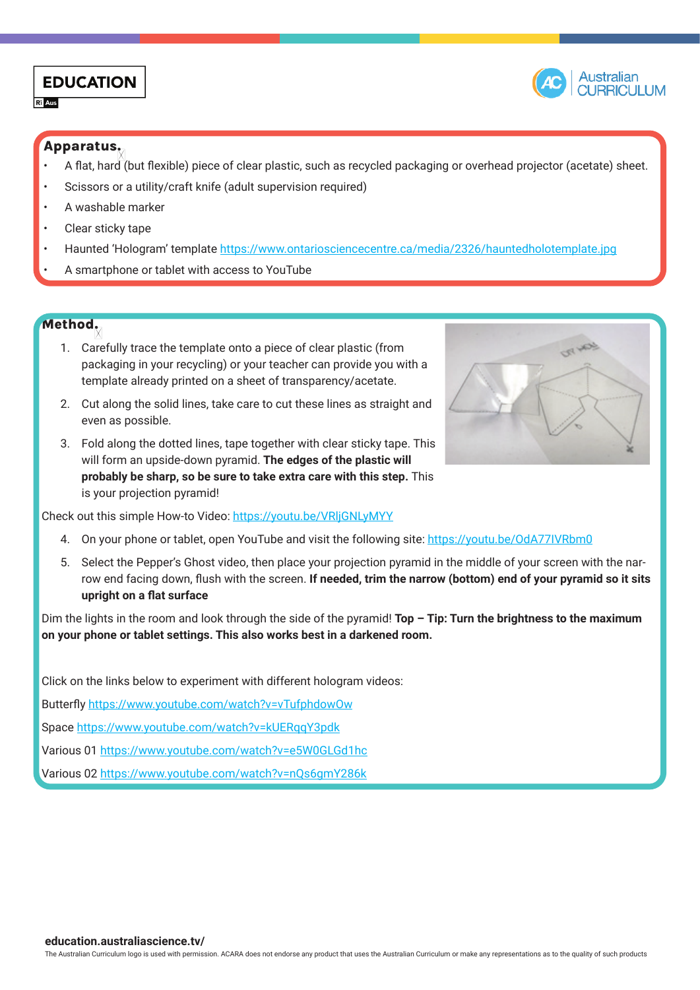## **EDUCATION**

 $R<sup>2</sup>$  Aus



#### Apparatus:

- A flat, hard (but flexible) piece of clear plastic, such as recycled packaging or overhead projector (acetate) sheet.
- Scissors or a utility/craft knife (adult supervision required)
- A washable marker
- Clear sticky tape
- Haunted 'Hologram' template<https://www.ontariosciencecentre.ca/media/2326/hauntedholotemplate.jpg>
- A smartphone or tablet with access to YouTube

#### Method:

- 1. Carefully trace the template onto a piece of clear plastic (from packaging in your recycling) or your teacher can provide you with a template already printed on a sheet of transparency/acetate.
- 2. Cut along the solid lines, take care to cut these lines as straight and even as possible.
- 3. Fold along the dotted lines, tape together with clear sticky tape. This will form an upside-down pyramid. **The edges of the plastic will probably be sharp, so be sure to take extra care with this step.** This is your projection pyramid!

Check out this simple How-to Video:<https://youtu.be/VRljGNLyMYY>

- 4. On your phone or tablet, open YouTube and visit the following site: <https://youtu.be/OdA77IVRbm0>
- 5. Select the Pepper's Ghost video, then place your projection pyramid in the middle of your screen with the narrow end facing down, flush with the screen. **If needed, trim the narrow (bottom) end of your pyramid so it sits upright on a flat surface**

Dim the lights in the room and look through the side of the pyramid! **Top – Tip: Turn the brightness to the maximum on your phone or tablet settings. This also works best in a darkened room.**

Click on the links below to experiment with different hologram videos:

Butterfly<https://www.youtube.com/watch?v=vTufphdowOw>

Space <https://www.youtube.com/watch?v=kUERqqY3pdk>

Various 01<https://www.youtube.com/watch?v=e5W0GLGd1hc>

Various 02<https://www.youtube.com/watch?v=nQs6gmY286k>

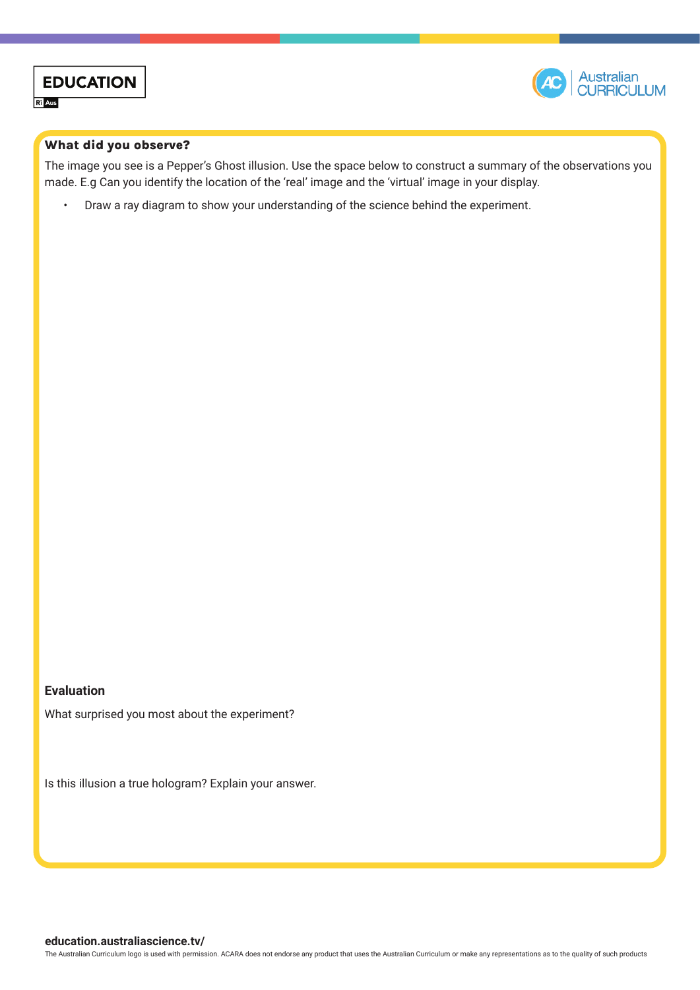



#### What did you observe?

The image you see is a Pepper's Ghost illusion. Use the space below to construct a summary of the observations you made. E.g Can you identify the location of the 'real' image and the 'virtual' image in your display.

• Draw a ray diagram to show your understanding of the science behind the experiment.

#### **Evaluation**

What surprised you most about the experiment?

Is this illusion a true hologram? Explain your answer.

The Australian Curriculum logo is used with permission. ACARA does not endorse any product that uses the Australian Curriculum or make any representations as to the quality of such products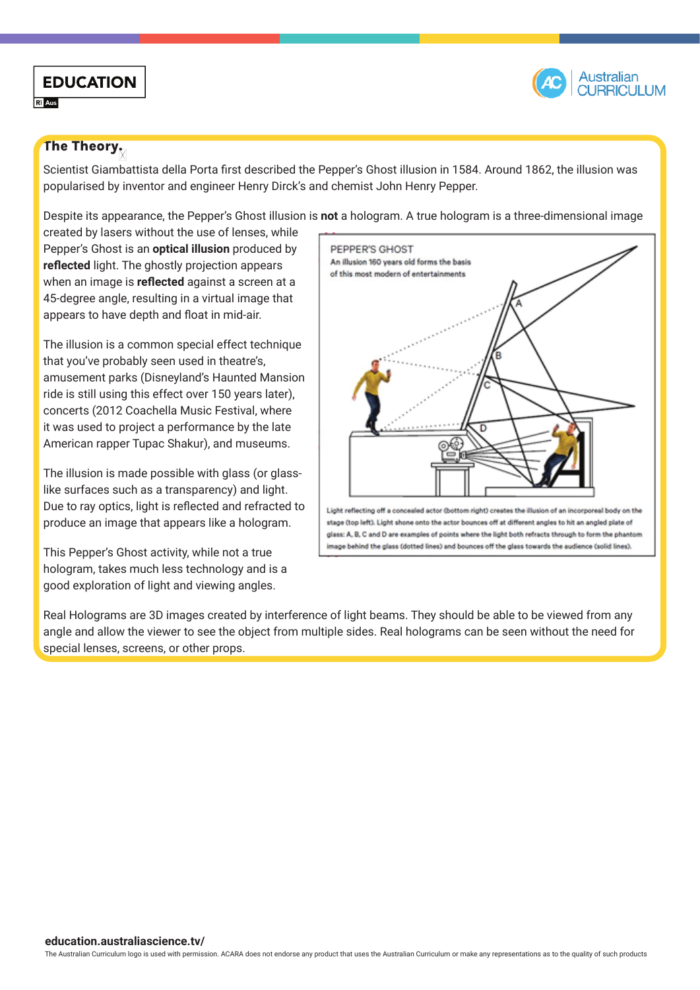

# **EDUCATION**

**R** Aus

#### The Theory.

Scientist Giambattista della Porta first described the Pepper's Ghost illusion in 1584. Around 1862, the illusion was popularised by inventor and engineer Henry Dirck's and chemist John Henry Pepper.

Despite its appearance, the Pepper's Ghost illusion is **not** a hologram. A true hologram is a three-dimensional image

created by lasers without the use of lenses, while Pepper's Ghost is an **optical illusion** produced by **reflected** light. The ghostly projection appears when an image is **reflected** against a screen at a 45-degree angle, resulting in a virtual image that appears to have depth and float in mid-air.

The illusion is a common special effect technique that you've probably seen used in theatre's, amusement parks (Disneyland's Haunted Mansion ride is still using this effect over 150 years later), concerts (2012 Coachella Music Festival, where it was used to project a performance by the late American rapper Tupac Shakur), and museums.

The illusion is made possible with glass (or glasslike surfaces such as a transparency) and light. Due to ray optics, light is reflected and refracted to produce an image that appears like a hologram.

This Pepper's Ghost activity, while not a true hologram, takes much less technology and is a good exploration of light and viewing angles.



Real Holograms are 3D images created by interference of light beams. They should be able to be viewed from any angle and allow the viewer to see the object from multiple sides. Real holograms can be seen without the need for special lenses, screens, or other props.

The Australian Curriculum logo is used with permission. ACARA does not endorse any product that uses the Australian Curriculum or make any representations as to the quality of such products